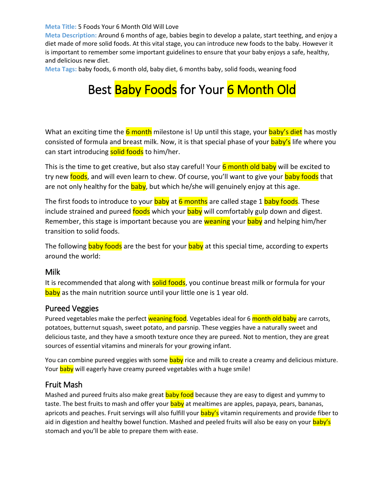**Meta Title:** 5 Foods Your 6 Month Old Will Love

**Meta Description:** Around 6 months of age, babies begin to develop a palate, start teething, and enjoy a diet made of more solid foods. At this vital stage, you can introduce new foods to the baby. However it is important to remember some important guidelines to ensure that your baby enjoys a safe, healthy, and delicious new diet.

**Meta Tags:** baby foods, 6 month old, baby diet, 6 months baby, solid foods, weaning food

# Best Baby Foods for Your 6 Month Old

What an exciting time the  $\overline{6}$  month milestone is! Up until this stage, your baby's diet has mostly consisted of formula and breast milk. Now, it is that special phase of your **baby's** life where you can start introducing solid foods to him/her.

This is the time to get creative, but also stay careful! Your 6 month old baby will be excited to try new foods, and will even learn to chew. Of course, you'll want to give your baby foods that are not only healthy for the **baby**, but which he/she will genuinely enjoy at this age.

The first foods to introduce to your **baby** at 6 months are called stage 1 **baby foods**. These include strained and pureed foods which your baby will comfortably gulp down and digest. Remember, this stage is important because you are weaning your baby and helping him/her transition to solid foods.

The following **baby foods** are the best for your **baby** at this special time, according to experts around the world:

## Milk

It is recommended that along with solid foods, you continue breast milk or formula for your baby as the main nutrition source until your little one is 1 year old.

#### Pureed Veggies

Pureed vegetables make the perfect weaning food. Vegetables ideal for 6 month old baby are carrots, potatoes, butternut squash, sweet potato, and parsnip. These veggies have a naturally sweet and delicious taste, and they have a smooth texture once they are pureed. Not to mention, they are great sources of essential vitamins and minerals for your growing infant.

You can combine pureed veggies with some baby rice and milk to create a creamy and delicious mixture. Your baby will eagerly have creamy pureed vegetables with a huge smile!

#### Fruit Mash

Mashed and pureed fruits also make great **baby food** because they are easy to digest and yummy to taste. The best fruits to mash and offer your baby at mealtimes are apples, papaya, pears, bananas, apricots and peaches. Fruit servings will also fulfill your **baby's** vitamin requirements and provide fiber to aid in digestion and healthy bowel function. Mashed and peeled fruits will also be easy on your baby's stomach and you'll be able to prepare them with ease.